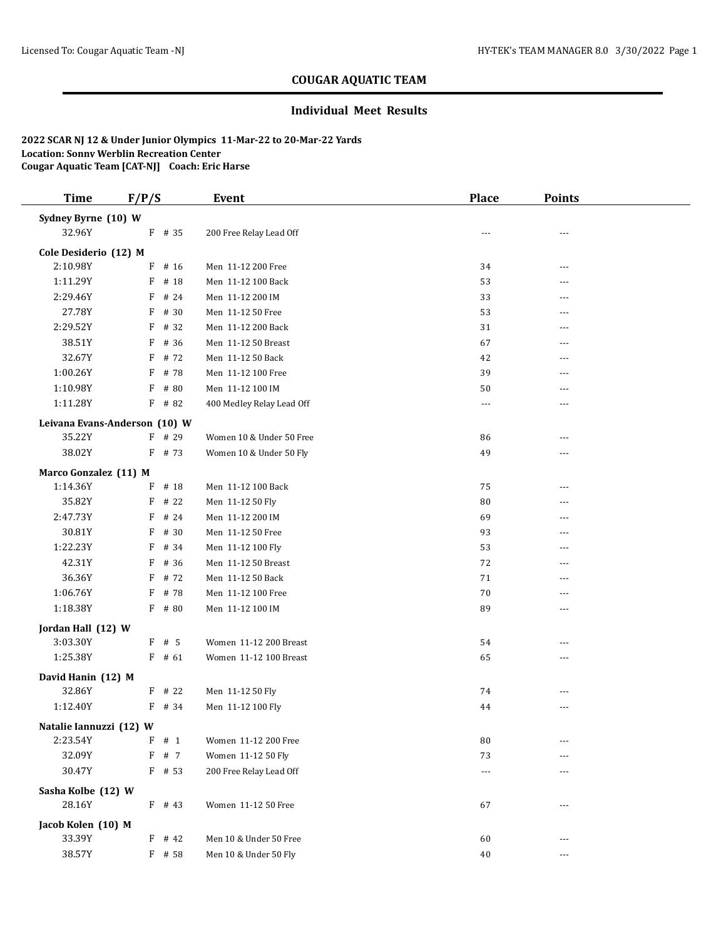## **COUGAR AQUATIC TEAM**

## **Individual Meet Results**

**2022 SCAR NJ 12 & Under Junior Olympics 11-Mar-22 to 20-Mar-22 Yards Location: Sonny Werblin Recreation Center Cougar Aquatic Team [CAT-NJ] Coach: Eric Harse**

| <b>Time</b>             | F/P/S                         | Event                     | <b>Place</b> | <b>Points</b> |  |
|-------------------------|-------------------------------|---------------------------|--------------|---------------|--|
| Sydney Byrne (10) W     |                               |                           |              |               |  |
| 32.96Y                  | F # 35                        | 200 Free Relay Lead Off   |              | ---           |  |
| Cole Desiderio (12) M   |                               |                           |              |               |  |
| 2:10.98Y                | $F$ # 16                      | Men 11-12 200 Free        | 34           | ---           |  |
| 1:11.29Y                | F<br># 18                     | Men 11-12 100 Back        | 53           | $- - -$       |  |
| 2:29.46Y                | F<br># 24                     | Men 11-12 200 IM          | 33           | ---           |  |
| 27.78Y                  | F<br># 30                     | Men 11-12 50 Free         | 53           | ---           |  |
| 2:29.52Y                | # 32<br>F                     | Men 11-12 200 Back        | 31           |               |  |
| 38.51Y                  | $F$ # 36                      | Men 11-12 50 Breast       | 67           |               |  |
| 32.67Y                  | $F$ # 72                      | Men 11-12 50 Back         | 42           | ---           |  |
| 1:00.26Y                | $F$ # 78                      | Men 11-12 100 Free        | 39           | ---           |  |
| 1:10.98Y                | F<br># 80                     | Men 11-12 100 IM          | 50           | $---$         |  |
| 1:11.28Y                | $F$ # 82                      | 400 Medley Relay Lead Off | $\cdots$     | ---           |  |
|                         | Leivana Evans-Anderson (10) W |                           |              |               |  |
| 35.22Y                  | $F$ # 29                      | Women 10 & Under 50 Free  | 86           | ---           |  |
| 38.02Y                  | $F$ # 73                      | Women 10 & Under 50 Fly   | 49           | ---           |  |
| Marco Gonzalez (11) M   |                               |                           |              |               |  |
| 1:14.36Y                | $F$ # 18                      | Men 11-12 100 Back        | 75           | ---           |  |
| 35.82Y                  | $F$ # 22                      | Men 11-12 50 Fly          | 80           | ---           |  |
| 2:47.73Y                | F<br># 24                     | Men 11-12 200 IM          | 69           | ---           |  |
| 30.81Y                  | F<br># 30                     | Men 11-12 50 Free         | 93           | $---$         |  |
| 1:22.23Y                | # 34<br>F                     | Men 11-12 100 Fly         | 53           | ---           |  |
| 42.31Y                  | # 36<br>F                     | Men 11-12 50 Breast       | 72           | $---$         |  |
| 36.36Y                  | $F$ # 72                      | Men 11-12 50 Back         | 71           | ---           |  |
| 1:06.76Y                | F # 78                        | Men 11-12 100 Free        | 70           | ---           |  |
| 1:18.38Y                | $F$ # 80                      | Men 11-12 100 IM          | 89           | $- - -$       |  |
| Jordan Hall (12) W      |                               |                           |              |               |  |
| 3:03.30Y                | $F$ # 5                       | Women 11-12 200 Breast    | 54           | $---$         |  |
| 1:25.38Y                | $F$ # 61                      | Women 11-12 100 Breast    | 65           | ---           |  |
| David Hanin (12) M      |                               |                           |              |               |  |
| 32.86Y                  | $F$ # 22                      | Men 11-12 50 Fly          | 74           | ---           |  |
| 1:12.40Y                | $F$ # 34                      | Men 11-12 100 Fly         | 44           | ---           |  |
| Natalie Iannuzzi (12) W |                               |                           |              |               |  |
| 2:23.54Y                | F<br># 1                      | Women 11-12 200 Free      | 80           | ---           |  |
| 32.09Y                  | F # 7                         | Women 11-12 50 Fly        | 73           | ---           |  |
| 30.47Y                  | $F$ # 53                      | 200 Free Relay Lead Off   | $\cdots$     | ---           |  |
| Sasha Kolbe (12) W      |                               |                           |              |               |  |
| 28.16Y                  | $F$ # 43                      | Women 11-12 50 Free       | 67           | ---           |  |
| Jacob Kolen (10) M      |                               |                           |              |               |  |
| 33.39Y                  | $F$ # 42                      | Men 10 & Under 50 Free    | 60           | $---$         |  |
| 38.57Y                  | F # 58                        | Men 10 & Under 50 Fly     | 40           | ---           |  |
|                         |                               |                           |              |               |  |